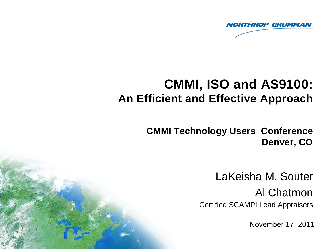

# **CMMI, ISO and AS9100: An Efficient and Effective Approach**

**CMMI Technology Users Conference Denver, CO** 

> LaKeisha M. Souter Al Chatmon Certified SCAMPI Lead Appraisers

> > November 17, 2011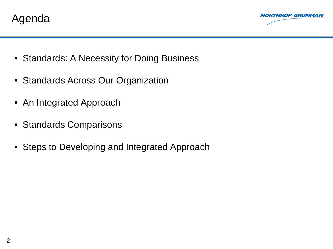



- Standards: A Necessity for Doing Business
- Standards Across Our Organization
- An Integrated Approach
- Standards Comparisons
- Steps to Developing and Integrated Approach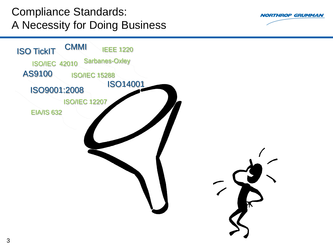Compliance Standards: A Necessity for Doing Business



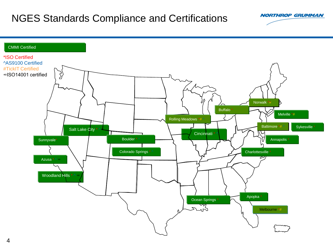#### NGES Standards Compliance and Certifications

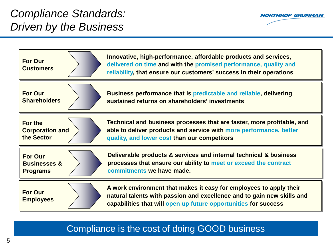

| <b>For Our</b><br><b>Customers</b> | Innovative, high-performance, affordable products and services,<br>delivered on time and with the promised performance, quality and<br>reliability, that ensure our customers' success in their operations      |
|------------------------------------|-----------------------------------------------------------------------------------------------------------------------------------------------------------------------------------------------------------------|
| <b>For Our</b>                     | Business performance that is predictable and reliable, delivering                                                                                                                                               |
| <b>Shareholders</b>                | sustained returns on shareholders' investments                                                                                                                                                                  |
| For the                            | Technical and business processes that are faster, more profitable, and                                                                                                                                          |
| <b>Corporation and</b>             | able to deliver products and service with more performance, better                                                                                                                                              |
| the Sector                         | quality, and lower cost than our competitors                                                                                                                                                                    |
| <b>For Our</b>                     | Deliverable products & services and internal technical & business                                                                                                                                               |
| <b>Businesses &amp;</b>            | processes that ensure our ability to meet or exceed the contract                                                                                                                                                |
| <b>Programs</b>                    | commitments we have made.                                                                                                                                                                                       |
| <b>For Our</b><br><b>Employees</b> | A work environment that makes it easy for employees to apply their<br>natural talents with passion and excellence and to gain new skills and<br>capabilities that will open up future opportunities for success |

Compliance is the cost of doing GOOD business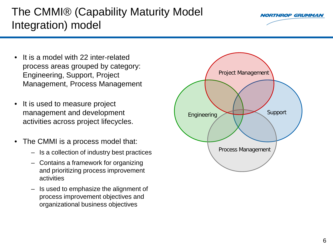#### The CMMI® (Capability Maturity Model Integration) model

- It is a model with 22 inter-related process areas grouped by category: Engineering, Support, Project Management, Process Management
- It is used to measure project management and development activities across project lifecycles.
- The CMMI is a process model that:
	- Is a collection of industry best practices
	- Contains a framework for organizing and prioritizing process improvement activities
	- Is used to emphasize the alignment of process improvement objectives and organizational business objectives



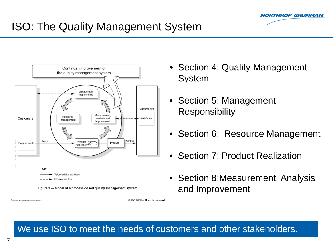

# ISO: The Quality Management System



Figure 1 - Model of a process-based quality management system

ational Orcanization for Standardizatio

### • Section 4: Quality Management System

- Section 5: Management **Responsibility**
- Section 6: Resource Management
- Section 7: Product Realization
- Section 8:Measurement, Analysis and Improvement

#### We use ISO to meet the needs of customers and other stakeholders.

C ISO 2008 - All rights reserved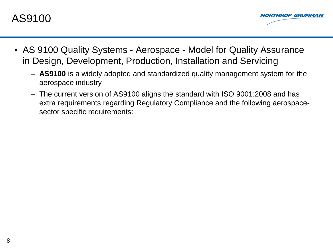



- AS 9100 Quality Systems Aerospace Model for Quality Assurance in Design, Development, Production, Installation and Servicing
	- **AS9100** is a widely adopted and standardized quality management system for the aerospace industry
	- The current version of AS9100 aligns the standard with ISO 9001:2008 and has extra requirements regarding Regulatory Compliance and the following aerospacesector specific requirements: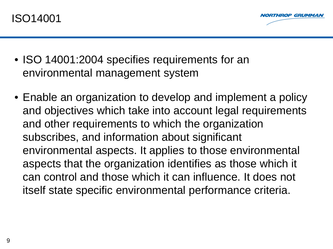

- ISO 14001:2004 specifies requirements for an environmental management system
- Enable an organization to develop and implement a policy and objectives which take into account legal requirements and other requirements to which the organization subscribes, and information about significant environmental aspects. It applies to those environmental aspects that the organization identifies as those which it can control and those which it can influence. It does not itself state specific environmental performance criteria.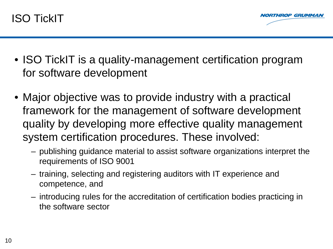

- ISO TickIT is a quality-management certification program for software development
- Major objective was to provide industry with a practical framework for the management of software development quality by developing more effective quality management system certification procedures. These involved:
	- publishing guidance material to assist software organizations interpret the requirements of ISO 9001
	- training, selecting and registering auditors with IT experience and competence, and
	- introducing rules for the accreditation of certification bodies practicing in the software sector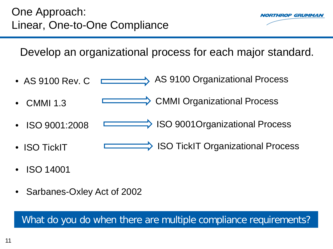

Develop an organizational process for each major standard.

- AS 9100 Organizational Process • AS 9100 Rev. C **The Committee of the Committee**
- CMMI 1.3  **CMMI Organizational Process**
- ISO 9001:2008 **ISO 9001Organizational Process**
- ISO TickIT **⇒ ISO TickIT Organizational Process**
- ISO 14001
- Sarbanes-Oxley Act of 2002

What do you do when there are multiple compliance requirements?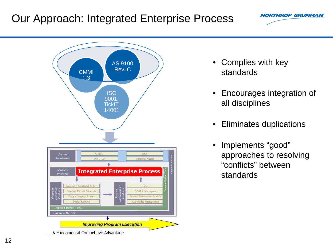#### Our Approach: Integrated Enterprise Process



... A Fundamental Competitive Advantage

- Complies with key standards
- Encourages integration of all disciplines

- Eliminates duplications
- Implements "good" approaches to resolving "conflicts" between standards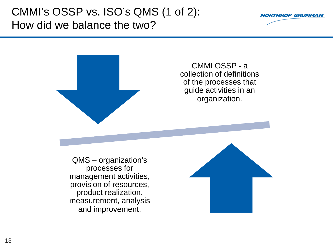#### CMMI's OSSP vs. ISO's QMS (1 of 2): How did we balance the two?





#### CMMI OSSP - a collection of definitions of the processes that guide activities in an organization.

QMS – organization's processes for management activities, provision of resources, product realization, measurement, analysis and improvement.

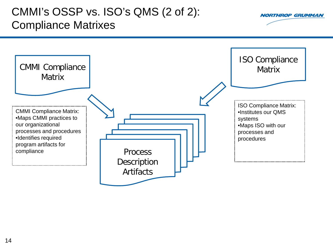#### CMMI's OSSP vs. ISO's QMS (2 of 2): Compliance Matrixes

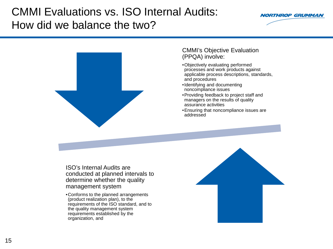### CMMI Evaluations vs. ISO Internal Audits: How did we balance the two?





#### CMMI's Objective Evaluation (PPQA) involve:

- •Objectively evaluating performed processes and work products against applicable process descriptions, standards, and procedures
- •Identifying and documenting noncompliance issues
- •Providing feedback to project staff and managers on the results of quality assurance activities
- •Ensuring that noncompliance issues are addressed

ISO's Internal Audits are conducted at planned intervals to determine whether the quality management system

•Conforms to the planned arrangements (product realization plan), to the requirements of the ISO standard, and to the quality management system requirements established by the organization, and

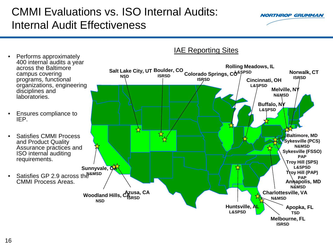## CMMI Evaluations vs. ISO Internal Audits: Internal Audit Effectiveness



- Performs approximately 400 internal audits a year across the Baltimore campus covering programs, functional organizations, engineering disciplines and laboratories. • Ensures compliance to IEP. • Satisfies CMMI Process and Product Quality Assurance practices and ISO internal auditing requirements. • Satisfies GP 2.9 across the **N&MSD** CMMI Process Areas. **Baltimore, MD Sykesville (PCS) N&MSD Sykesville (FSSO) PAP Troy Hill (SPS) L&SPSD Troy Hill (PAP) PAP Huntsville, AL L&SPSD Woodland Hills, CA Azusa, CA NSD Sunnyvale, CA ISRSD Boulder, CO**<br> **ISRSD** Colorado Springs, CO<sup>&SPSD</sup> Morwalk, CT **ISRSD Apopka, FL TSD Melbourne, FL ISRSD Rolling Meadows, IL Annapolis, MD N&MSD NSD Colorado Springs, CO Charlottesville, VA N&MSD Cincinnati, OH L&SPSD Melville, NY N&MSD Buffalo, NY L&SPSD ISRSD**
- **IAE Reporting Sites**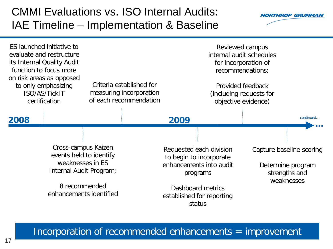#### CMMI Evaluations vs. ISO Internal Audits: IAE Timeline – Implementation & Baseline



| ES launched initiative to<br>evaluate and restructure<br>its Internal Quality Audit<br>function to focus more<br>on risk areas as opposed<br>Criteria established for<br>to only emphasizing<br>measuring incorporation<br>ISO/AS/TickIT<br>of each recommendation<br>certification |  | Reviewed campus<br>internal audit schedules<br>for incorporation of<br>recommendations;<br>Provided feedback<br>(including requests for<br>objective evidence) |                                                  |
|-------------------------------------------------------------------------------------------------------------------------------------------------------------------------------------------------------------------------------------------------------------------------------------|--|----------------------------------------------------------------------------------------------------------------------------------------------------------------|--------------------------------------------------|
| 2008                                                                                                                                                                                                                                                                                |  | 2009                                                                                                                                                           | continued                                        |
|                                                                                                                                                                                                                                                                                     |  |                                                                                                                                                                |                                                  |
| Cross-campus Kaizen<br>events held to identify                                                                                                                                                                                                                                      |  | Requested each division<br>to begin to incorporate                                                                                                             | Capture baseline scoring                         |
| weaknesses in ES<br>Internal Audit Program;                                                                                                                                                                                                                                         |  | enhancements into audit<br>programs                                                                                                                            | Determine program<br>strengths and<br>weaknesses |
| 8 recommended<br>enhancements identified                                                                                                                                                                                                                                            |  | Dashboard metrics<br>established for reporting<br>status                                                                                                       |                                                  |

Incorporation of recommended enhancements = improvement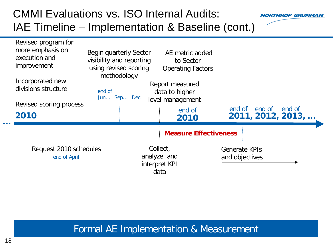### CMMI Evaluations vs. ISO Internal Audits: IAE Timeline – Implementation & Baseline (cont.)



| Revised program for<br>more emphasis on<br>execution and<br><i>improvement</i> | Begin quarterly Sector<br>visibility and reporting<br>using revised scoring | AE metric added<br>to Sector<br><b>Operating Factors</b>                |                                              |
|--------------------------------------------------------------------------------|-----------------------------------------------------------------------------|-------------------------------------------------------------------------|----------------------------------------------|
| Incorporated new<br>divisions structure<br>Revised scoring process<br>2010     | methodology<br>end of<br>Jun Sep Dec                                        | Report measured<br>data to higher<br>level management<br>end of<br>2010 | end of end of<br>end of<br>2011, 2012, 2013, |
| Request 2010 schedules<br>end of April                                         | Collect,<br>analyze, and<br>interpret KPI<br>data                           | <b>Measure Effectiveness</b>                                            | <b>Generate KPIs</b><br>and objectives       |

#### Formal AE Implementation & Measurement

**…**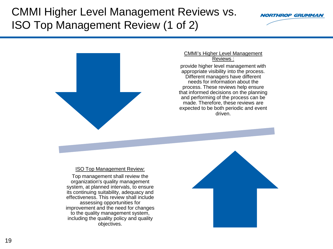#### CMMI Higher Level Management Reviews vs. ISO Top Management Review (1 of 2)





#### CMMI's Higher Level Management Reviews :

provide higher level management with appropriate visibility into the process. Different managers have different needs for information about the process. These reviews help ensure that informed decisions on the planning and performing of the process can be made. Therefore, these reviews are expected to be both periodic and event driven.

ISO Top Management Review:

Top management shall review the organization's quality management system, at planned intervals, to ensure its continuing suitability, adequacy and effectiveness. This review shall include assessing opportunities for improvement and the need for changes to the quality management system, including the quality policy and quality objectives.

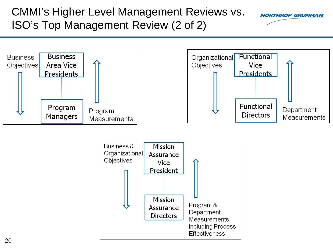#### CMMI's Higher Level Management Reviews vs. ISO's Top Management Review (2 of 2)



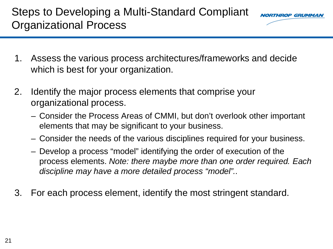# Steps to Developing a Multi-Standard Compliant Organizational Process

*NORTHROP GRIJMMA* 

- 1. Assess the various process architectures/frameworks and decide which is best for your organization.
- 2. Identify the major process elements that comprise your organizational process.
	- Consider the Process Areas of CMMI, but don't overlook other important elements that may be significant to your business.
	- Consider the needs of the various disciplines required for your business.
	- Develop a process "model" identifying the order of execution of the process elements. *Note: there maybe more than one order required. Each discipline may have a more detailed process "model"..*
- 3. For each process element, identify the most stringent standard.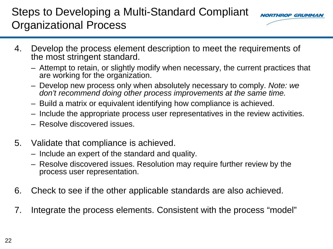### Steps to Developing a Multi-Standard Compliant Organizational Process



- 4. Develop the process element description to meet the requirements of the most stringent standard.
	- Attempt to retain, or slightly modify when necessary, the current practices that are working for the organization.
	- Develop new process only when absolutely necessary to comply. *Note: we don't recommend doing other process improvements at the same time.*
	- Build a matrix or equivalent identifying how compliance is achieved.
	- Include the appropriate process user representatives in the review activities.
	- Resolve discovered issues.
- 5. Validate that compliance is achieved.
	- Include an expert of the standard and quality.
	- Resolve discovered issues. Resolution may require further review by the process user representation.
- 6. Check to see if the other applicable standards are also achieved.
- 7. Integrate the process elements. Consistent with the process "model"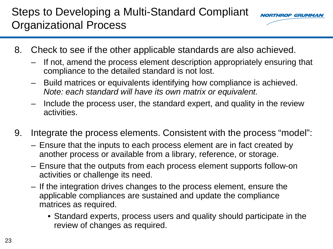# Steps to Developing a Multi-Standard Compliant Organizational Process



- 8. Check to see if the other applicable standards are also achieved.
	- If not, amend the process element description appropriately ensuring that compliance to the detailed standard is not lost.
	- Build matrices or equivalents identifying how compliance is achieved. *Note: each standard will have its own matrix or equivalent.*
	- Include the process user, the standard expert, and quality in the review activities.
- 9. Integrate the process elements. Consistent with the process "model":
	- Ensure that the inputs to each process element are in fact created by another process or available from a library, reference, or storage.
	- Ensure that the outputs from each process element supports follow-on activities or challenge its need.
	- If the integration drives changes to the process element, ensure the applicable compliances are sustained and update the compliance matrices as required.
		- Standard experts, process users and quality should participate in the review of changes as required.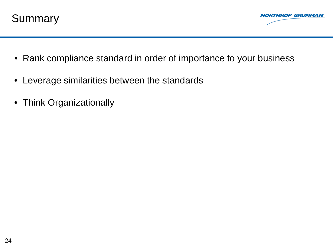



- Rank compliance standard in order of importance to your business
- Leverage similarities between the standards
- Think Organizationally